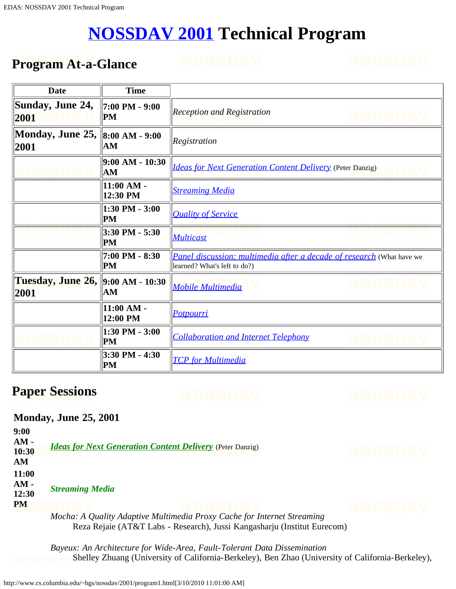# **[NOSSDAV 2001](http://www.nossdav.org/2001) Technical Program**

## <span id="page-0-0"></span>**Program At-a-Glance**

| Date                      | <b>Time</b>              |                                                                                                       |  |
|---------------------------|--------------------------|-------------------------------------------------------------------------------------------------------|--|
| Sunday, June 24,<br>2001  | 7:00 PM - 9:00<br>PM     | <b>Reception and Registration</b>                                                                     |  |
| Monday, June 25,<br>2001  | 8:00 AM - 9:00<br>AM     | Registration                                                                                          |  |
|                           | 9:00 AM - 10:30<br>AM    | <b>Ideas for Next Generation Content Delivery</b> (Peter Danzig)<br><b>Streaming Media</b>            |  |
|                           | 11:00 AM -<br>12:30 PM   |                                                                                                       |  |
|                           | 1:30 PM - 3:00<br>PM     | <b>Quality of Service</b>                                                                             |  |
|                           | 3:30 PM - 5:30<br>PM     | <b>Multicast</b>                                                                                      |  |
|                           | 7:00 PM - 8:30<br>PM     | Panel discussion: multimedia after a decade of research (What have we<br>learned? What's left to do?) |  |
| Tuesday, June 26,<br>2001 | 9:00 AM - 10:30<br>AM    | <b>Mobile Multimedia</b>                                                                              |  |
|                           | $11:00 AM -$<br>12:00 PM | <b>Potpourri</b>                                                                                      |  |
|                           | 1:30 PM - 3:00<br>PM     | <b>Collaboration and Internet Telephony</b>                                                           |  |
|                           | 3:30 PM - 4:30<br>PM     | <b>TCP</b> for Multimedia                                                                             |  |

# **Paper Sessions**

### **Monday, June 25, 2001**

| 9:00<br>$AM -$<br>10:30<br>AM         | <b>Ideas for Next Generation Content Delivery</b> (Peter Danzig)                                                                                                             |  |
|---------------------------------------|------------------------------------------------------------------------------------------------------------------------------------------------------------------------------|--|
| 11:00<br>$AM -$<br>12:30<br><b>PM</b> | <b>Streaming Media</b><br>$M_{\odot}$ density $\Lambda$ and $\Lambda$ density $M_{\odot}$ direction of $\Lambda$ and $\Lambda$ and $\Lambda$ are $\Lambda$ density $\Lambda$ |  |

<span id="page-0-1"></span>*Mocha: A Quality Adaptive Multimedia Proxy Cache for Internet Streaming* Reza Rejaie (AT&T Labs - Research), Jussi Kangasharju (Institut Eurecom)

*Bayeux: An Architecture for Wide-Area, Fault-Tolerant Data Dissemination* Shelley Zhuang (University of California-Berkeley), Ben Zhao (University of California-Berkeley),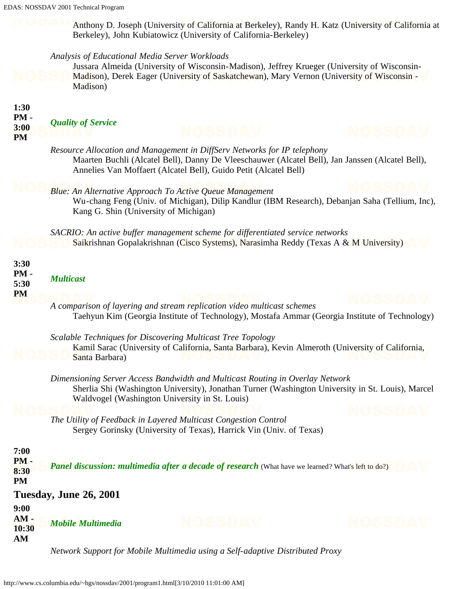Anthony D. Joseph (University of California at Berkeley), Randy H. Katz (University of California at Berkeley), John Kubiatowicz (University of California-Berkeley)

#### *Analysis of Educational Media Server Workloads*

Jussara Almeida (University of Wisconsin-Madison), Jeffrey Krueger (University of Wisconsin-Madison), Derek Eager (University of Saskatchewan), Mary Vernon (University of Wisconsin - Madison)

<span id="page-1-3"></span><span id="page-1-2"></span><span id="page-1-1"></span><span id="page-1-0"></span>

| 1:30<br>PM-<br>3:00<br><b>PM</b>    | <b>Quality of Service</b> |                                                                                                                                                                                                                                                  |       |
|-------------------------------------|---------------------------|--------------------------------------------------------------------------------------------------------------------------------------------------------------------------------------------------------------------------------------------------|-------|
|                                     |                           | Resource Allocation and Management in DiffServ Networks for IP telephony<br>Maarten Buchli (Alcatel Bell), Danny De Vleeschauwer (Alcatel Bell), Jan Janssen (Alcatel Bell),<br>Annelies Van Moffaert (Alcatel Bell), Guido Petit (Alcatel Bell) |       |
|                                     |                           | <b>Blue: An Alternative Approach To Active Queue Management</b><br>Wu-chang Feng (Univ. of Michigan), Dilip Kandlur (IBM Research), Debanjan Saha (Tellium, Inc),<br>Kang G. Shin (University of Michigan)                                       |       |
|                                     |                           | SACRIO: An active buffer management scheme for differentiated service networks<br>Saikrishnan Gopalakrishnan (Cisco Systems), Narasimha Reddy (Texas A & M University)                                                                           |       |
| 3:30<br>PM-<br>5:30<br><b>PM</b>    | <b>Multicast</b>          |                                                                                                                                                                                                                                                  |       |
|                                     |                           | A comparison of layering and stream replication video multicast schemes<br>Taehyun Kim (Georgia Institute of Technology), Mostafa Ammar (Georgia Institute of Technology)                                                                        |       |
|                                     | Santa Barbara)            | Scalable Techniques for Discovering Multicast Tree Topology<br>Kamil Sarac (University of California, Santa Barbara), Kevin Almeroth (University of California,                                                                                  |       |
|                                     |                           | Dimensioning Server Access Bandwidth and Multicast Routing in Overlay Network<br>Sherlia Shi (Washington University), Jonathan Turner (Washington University in St. Louis), Marcel<br>Waldvogel (Washington University in St. Louis)             |       |
|                                     |                           | The Utility of Feedback in Layered Multicast Congestion Control<br>Sergey Gorinsky (University of Texas), Harrick Vin (Univ. of Texas)                                                                                                           |       |
| 7:00<br>$PM -$<br>8:30<br><b>PM</b> |                           | <b>Panel discussion: multimedia after a decade of research</b> (What have we learned? What's left to do?)                                                                                                                                        |       |
|                                     | Tuesday, June 26, 2001    |                                                                                                                                                                                                                                                  |       |
| 9:00<br>$AM -$<br>10:30<br>AM       | <b>Mobile Multimedia</b>  | NOSSDAV                                                                                                                                                                                                                                          | OSSID |
|                                     |                           | Network Support for Mobile Multimedia using a Self-adaptive Distributed Proxy                                                                                                                                                                    |       |